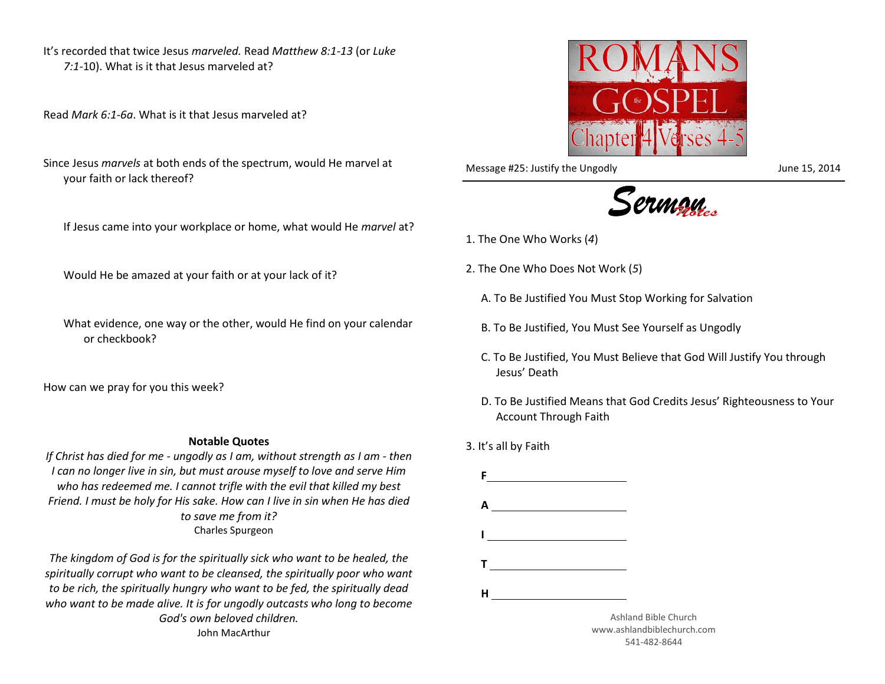It's recorded that twice Jesus *marveled.* Read *Matthew 8:1-13* (or *Luke 7:1-*10). What is it that Jesus marveled at?

Read *Mark 6:1-6a*. What is it that Jesus marveled at?

Since Jesus *marvels* at both ends of the spectrum, would He marvel at your faith or lack thereof?

If Jesus came into your workplace or home, what would He *marvel* at?

Would He be amazed at your faith or at your lack of it?

What evidence, one way or the other, would He find on your calendar or checkbook?

How can we pray for you this week?

## **Notable Quotes**

*If Christ has died for me - ungodly as I am, without strength as I am - then I can no longer live in sin, but must arouse myself to love and serve Him who has redeemed me. I cannot trifle with the evil that killed my best Friend. I must be holy for His sake. How can I live in sin when He has died to save me from it?* Charles Spurgeon

*The kingdom of God is for the spiritually sick who want to be healed, the spiritually corrupt who want to be cleansed, the spiritually poor who want to be rich, the spiritually hungry who want to be fed, the spiritually dead who want to be made alive. It is for ungodly outcasts who long to become God's own beloved children.* John MacArthur



Message #25: Justify the Ungodly discussed by the Ungodly June 15, 2014



- 1. The One Who Works (*4*)
- 2. The One Who Does Not Work (*5*)
	- A. To Be Justified You Must Stop Working for Salvation
	- B. To Be Justified, You Must See Yourself as Ungodly
	- C. To Be Justified, You Must Believe that God Will Justify You through Jesus' Death
	- D. To Be Justified Means that God Credits Jesus' Righteousness to Your Account Through Faith
- 3. It's all by Faith



www.ashlandbiblechurch.com 541-482-8644